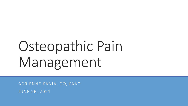# Osteopathic Pain Management

ADRIENNE KANIA, DO, FAAO JUNE 26, 2021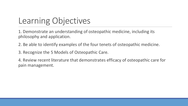### Learning Objectives

1. Demonstrate an understanding of osteopathic medicine, including its philosophy and application.

2. Be able to identify examples of the four tenets of osteopathic medicine.

3. Recognize the 5 Models of Osteopathic Care.

4. Review recent literature that demonstrates efficacy of osteopathic care for pain management.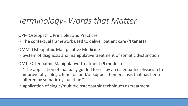#### *Terminology- Words that Matter*

OPP- Osteopathic Principles and Practices

◦ The contextual framework used to deliver patient care **(4 tenets)**

OMM- Osteopathic Manipulative Medicine

◦ System of diagnosis and manipulative treatment of somatic dysfunction

OMT- Osteopathic Manipulative Treatment **(5 models)**

- "The application of manually guided forces by an osteopathic physician to improve physiologic function and/or support homeostasis that has been altered by somatic dysfunction."
- application of single/multiple osteopathic techniques as treatment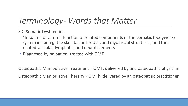#### *Terminology- Words that Matter*

SD- Somatic Dysfunction

- "Impaired or altered function of related components of the **somatic** (bodywork) system including: the skeletal, arthrodial, and myofascial structures, and their related vascular, lymphatic, and neural elements."
- Diagnosed by palpation, treated with OMT.

Osteopathic Manipulative Treatment = OMT, delivered by and osteopathic physician Osteopathic Manipulative Therapy = OMTh, delivered by an osteopathic practitioner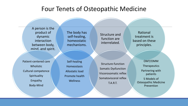#### Four Tenets of Osteopathic Medicine

A person is the product of dynamic interaction between body, mind, and spirit.

The body has self-healing, homeostatic mechanisms.

Structure and function are interrelated.

Rational treatment is based on these principles.

Patient-centered care Wholistic Cultural competence **Spirituality** Empathy Body-Mind

Self-healing **Homeostasis** Allostatic load Promote health **Wellness** 

Structure-function Somatic Dysfunction Viscerosomatic reflex Somatovisceral reflex T.A.R.T.

OMT/OMM **Therapeutics** Partnering with patients 5 Models of

Osteopathic Medicine Prevention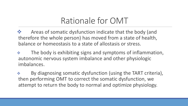#### Rationale for OMT

◆ Areas of somatic dysfunction indicate that the body (and therefore the whole person) has moved from a state of health, balance or homeostasis to a state of allostasis or stress.

**Example 20 Figure 10 Septem State State State State State State State State State State State State State State State State State State State State State State State State State State State State State State State State S** autonomic nervous system imbalance and other physiologic imbalances.

 By diagnosing somatic dysfunction (using the TART criteria), then performing OMT to correct the somatic dysfunction, we attempt to return the body to normal and optimize physiology.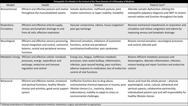| Osteopathic Five Models in the Context of the Three Domains of a Philosophy of Medicine |                                                                                                                                                                                    |                                                                                                                                                                                                                                           |                                                                                                                                                                                                                                           |
|-----------------------------------------------------------------------------------------|------------------------------------------------------------------------------------------------------------------------------------------------------------------------------------|-------------------------------------------------------------------------------------------------------------------------------------------------------------------------------------------------------------------------------------------|-------------------------------------------------------------------------------------------------------------------------------------------------------------------------------------------------------------------------------------------|
| <b>Models</b>                                                                           | Health                                                                                                                                                                             | <b>Disease</b>                                                                                                                                                                                                                            | Patient Care*                                                                                                                                                                                                                             |
| Biomechanical                                                                           | Efficient and effective posture and motion<br>throughout the musculoskeletal system                                                                                                | Somatic dysfunction; inefficient posture; joint<br>motion restrictions or hyper mobility; instability                                                                                                                                     | Alleviate somatic dysfunction utilizing the<br>osteopathic palpatory diagnosis and OMT to restore<br>normal motion and function throughout the body                                                                                       |
| Respiratory-<br>Circulatory                                                             | Efficient and effective arterial supply,<br>venous and lymphatic drainage to and<br>from all cells; effective respiration                                                          | Vascular compromise, edema, tissue congestion'<br>poor gas exchange                                                                                                                                                                       | Remove mechanical impediments to respiration and<br>circulation and relieve congestion and edema by<br>improving venous and lymphatic drainage                                                                                            |
| Neurological                                                                            | Efficient and effective sensory processing,<br>neural integration and control, autonomic functions, central and peripheral<br>balance, central and peripheral nervous<br>functions | Abnormal sensation, imbalance of autonomic<br>sensitization/malfunction; pain syndromes                                                                                                                                                   | Restore normal sensation, neurological processes<br>and control; alleviate pain                                                                                                                                                           |
| Metabolic-Energy                                                                        | Efficient and effective cellular metabolic<br>processes, energy expenditure and<br>exchange, endocrine and immune<br>regulation and control                                        | Energy loss, fatigue, ineffective metabolic<br>processes, toxic waste buildup, inflammation,<br>infection, poor wound healing, poor nutrition;<br>adverse response to medication; loss of endocrine control<br>control of vital functions | Restore efficient metabolic processes and<br>bioenergetics, alleviate inflammation, infection,<br>restore healing and repair functions and endocrine                                                                                      |
| <b>Behavioral</b>                                                                       | Efficient and effective mental, emotional<br>and spiritual functions, healthy lifestyle<br>choices and activities, good social support<br>system                                   | Ineffective function due to drug abuse,<br>environmental chemical exposure or trauma, poor<br>lifestyle choices (i.e., inactivity, dietary<br>indiscretions); inability to adapt to stress or<br>environmental challenges                 | Assess and treat the whole person - physical,<br>psychological, social, cultural, behavioral and<br>spiritual aspects; collaborative partnership;<br>individualized patient care and self-responsibility for<br>healthy lifestyle choices |

\*Utilizing combinations of Osteopathic manipulative medicine, medications, surgery, and education as appropriate.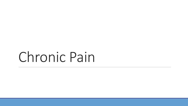## Chronic Pain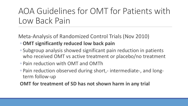#### AOA Guidelines for OMT for Patients with Low Back Pain

Meta-Analysis of Randomized Control Trials (Nov 2010) ◦**OMT significantly reduced low back pain**

- Subgroup analysis showed significant pain reduction in patients who received OMT vs active treatment or placebo/no treatment
- Pain reduction with OMT and OMTh
- Pain reduction observed during short,- intermediate-, and longterm follow-up
- **OMT for treatment of SD has not shown harm in any trial**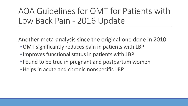AOA Guidelines for OMT for Patients with Low Back Pain - 2016 Update

Another meta-analysis since the original one done in 2010 ◦OMT significantly reduces pain in patients with LBP

- ◦Improves functional status in patients with LBP
- Found to be true in pregnant and postpartum women
- ◦Helps in acute and chronic nonspecific LBP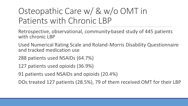### Osteopathic Care w/ & w/o OMT in Patients with Chronic LBP

Retrospective, observational, community-based study of 445 patients with chronic LBP

Used Numerical Rating Scale and Roland-Morris Disability Questionnaire and tracked medication use

288 patients used NSAIDs (64.7%)

127 patients used opioids (36.9%)

91 patients used NSAIDs and opioids (20.4%)

DOs treated 127 patients (28.5%), 79 of them received OMT for their LBP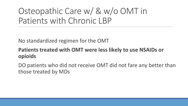### Osteopathic Care w/ & w/o OMT in Patients with Chronic LBP

No standardized regimen for the OMT

#### **Patients treated with OMT were less likely to use NSAIDs or opioids**

DO patients who did not receive OMT did not fare any better than those treated by MDs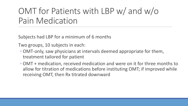#### OMT for Patients with LBP w/ and w/o Pain Medication

Subjects had LBP for a minimum of 6 months

Two groups, 10 subjects in each:

- OMT-only, saw physicians at intervals deemed appropriate for them, treatment tailored for patient
- OMT + medication, received medication and were on it for three months to allow for titration of medications before instituting OMT; if improved while receiving OMT, then Rx titrated downward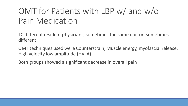#### OMT for Patients with LBP w/ and w/o Pain Medication

10 different resident physicians, sometimes the same doctor, sometimes different

OMT techniques used were Counterstrain, Muscle energy, myofascial release, High velocity low amplitude (HVLA)

Both groups showed a significant decrease in overall pain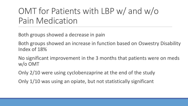#### OMT for Patients with LBP w/ and w/o Pain Medication

Both groups showed a decrease in pain

Both groups showed an increase in function based on Oswestry Disability Index of 18%

No significant improvement in the 3 months that patients were on meds w/o OMT

Only 2/10 were using cyclobenzaprine at the end of the study

Only 1/10 was using an opiate, but not statistically significant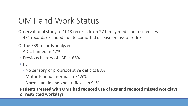#### OMT and Work Status

Observational study of 1013 records from 27 family medicine residencies

◦ 474 records excluded due to comorbid disease or loss of reflexes

Of the 539 records analyzed

- ADLs limited in 42%
- Previous history of LBP in 66%
- PE:
	- No sensory or proprioceptive deficits 88%
	- Motor function normal in 74.5%
	- Normal ankle and knee reflexes in 91%

**Patients treated with OMT had reduced use of Rxs and reduced missed workdays or restricted workdays**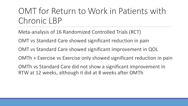#### OMT for Return to Work in Patients with Chronic LBP

Meta-analysis of 16 Randomized Controlled Trials (RCT)

OMT vs Standard Care showed significant reduction in pain

OMT vs Standard Care showed significant improvement in QOL

OMTh + Exercise vs Exercise only showed significant reduction in pain

OMTh vs Standard Care did not show a significant improvement in RTW at 12 weeks, although it did at 8 weeks after OMTh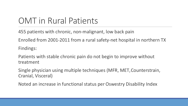#### OMT in Rural Patients

455 patients with chronic, non-malignant, low back pain

Enrolled from 2001-2011 from a rural safety-net hospital in northern TX

Findings:

Patients with stable chronic pain do not begin to improve without treatment

Single physician using multiple techniques (MFR, MET, Counterstrain, Cranial, Visceral)

Noted an increase in functional status per Oswestry Disability Index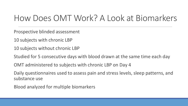#### How Does OMT Work? A Look at Biomarkers

Prospective blinded assessment

10 subjects with chronic LBP

10 subjects without chronic LBP

Studied for 5 consecutive days with blood drawn at the same time each day

OMT administered to subjects with chronic LBP on Day 4

Daily questionnaires used to assess pain and stress levels, sleep patterns, and substance use

Blood analyzed for multiple biomarkers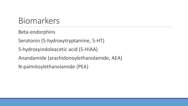#### Biomarkers

Beta-endorphins

Serotonin (5-hydroxytryptamine, 5-HT)

5-hydroxyindoleacetic acid (5-HIAA)

Anandamide (arachidonoylethanolamide, AEA)

N-palmitoylethanolamide (PEA)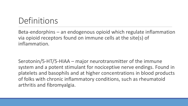#### Definitions

Beta-endorphins – an endogenous opioid which regulate inflammation via opioid receptors found on immune cells at the site(s) of inflammation.

Serotonin/5-HT/5-HIAA – major neurotransmitter of the immune system and a potent stimulant for nociceptive nerve endings. Found in platelets and basophils and at higher concentrations in blood products of folks with chronic inflammatory conditions, such as rheumatoid arthritis and fibromyalgia.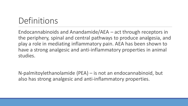#### Definitions

Endocannabinoids and Anandamide/AEA – act through receptors in the periphery, spinal and central pathways to produce analgesia, and play a role in mediating inflammatory pain. AEA has been shown to have a strong analgesic and anti-inflammatory properties in animal studies.

N-palmitoylethanolamide (PEA) – is not an endocannabinoid, but also has strong analgesic and anti-inflammatory properties.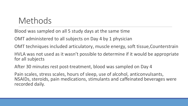#### Methods

Blood was sampled on all 5 study days at the same time

OMT administered to all subjects on Day 4 by 1 physician

OMT techniques included articulatory, muscle energy, soft tissue, Counterstrain

HVLA was not used as it wasn't possible to determine if it would be appropriate for all subjects

After 30 minutes rest post-treatment, blood was sampled on Day 4

Pain scales, stress scales, hours of sleep, use of alcohol, anticonvulsants, NSAIDs, steroids, pain medications, stimulants and caffeinated beverages were recorded daily.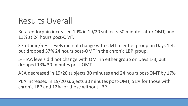#### Results Overall

Beta-endorphin increased 19% in 19/20 subjects 30 minutes after OMT, and 11% at 24 hours post-OMT.

Serotonin/5-HT levels did not change with OMT in either group on Days 1-4, but dropped 37% 24 hours post-OMT in the chronic LBP group.

5-HIAA levels did not change with OMT in either group on Days 1-3, but dropped 13% 30 minutes post-OMT

AEA decreased in 19/20 subjects 30 minutes and 24 hours post-OMT by 17%

PEA increased in 19/20 subjects 30 minutes post-OMT, 51% for those with chronic LBP and 12% for those without LBP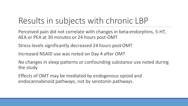#### Results in subjects with chronic LBP

Perceived pain did not correlate with changes in beta-endorphins, 5-HT, AEA or PEA at 30 minutes or 24 hours post-OMT

Stress levels significantly decreased 24 hours post-OMT

Increased NSAID use was noted on Day 4 after OMT

No changes in sleep patterns or confounding substance use noted during the study

Effects of OMT may be mediated by endogenous opioid and endocannabinoid pathways, not by serotonin pathways.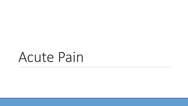## Acute Pain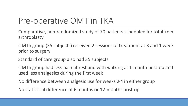#### Pre-operative OMT in TKA

Comparative, non-randomized study of 70 patients scheduled for total knee arthroplasty

OMTh group (35 subjects) received 2 sessions of treatment at 3 and 1 week prior to surgery

Standard of care group also had 35 subjects

OMTh group had less pain at rest and with walking at 1-month post-op and used less analgesics during the first week

No difference between analgesic use for weeks 2-4 in either group

No statistical difference at 6-months or 12-months post-op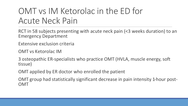#### OMT vs IM Ketorolac in the ED for Acute Neck Pain

RCT in 58 subjects presenting with acute neck pain (<3 weeks duration) to an Emergency Department

Extensive exclusion criteria

OMT vs Ketorolac IM

3 osteopathic ER-specialists who practice OMT (HVLA, muscle energy, soft tissue)

OMT applied by ER doctor who enrolled the patient

OMT group had statistically significant decrease in pain intensity 1-hour post- OMT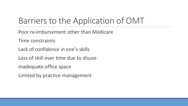### Barriers to the Application of OMT

- Poor re-imbursement other than Medicare
- Time constraints
- Lack of confidence in one's skills
- Loss of skill over time due to disuse
- Inadequate office space
- Limited by practice management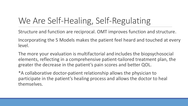### We Are Self-Healing, Self-Regulating

Structure and function are reciprocal. OMT improves function and structure.

Incorporating the 5 Models makes the patient feel heard and touched at every level.

The more your evaluation is multifactorial and includes the biopsychosocial elements, reflecting in a comprehensive patient-tailored treatment plan, the greater the decrease in the patient's pain scores and better QOL.

\*A collaborative doctor-patient relationship allows the physician to participate in the patient's healing process and allows the doctor to heal themselves.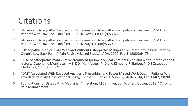#### **Citations**

- 1. "American Osteopathic Association Guidelines for Osteopathic Manipulative Treatment (OMT) for Patients with Low Back Pain," JAOA, 2010, Nov 1;110(11):653-666
- 2. "American Osteopathic Association Guidelines for Osteopathic Manipulative Treatment (OMT) for Patients with Low Back Pain," JAOA, 2016, Aug 1;116(8):536-49
- 3. "Osteopathic Medical Care With and Without Osteopathic Manipulative Treatment in Patients with Chronic Low Back Pain: A Pain Registry-Based Study," JAOA, 2020, Feb 1;120(2):64-73
- 4. "Use of osteopathic manipulative treatment for low back pain patients with and without medications history," Stephanie Montrose\*, MS, DO, Mark Vogel, PhD and Kimberly R. Barber, PhD J Osteopath Med 2021; 121(1): 63–69
- 5. "OMT Associated With Reduced Analgesic Prescribing and Fewer Missed Work Days in Patients With Low Back Pain: An Observational Study," Prinsen J, Hensel K, Snow R, JAOA, 2014, Feb;114(2):90-98
- 6. Foundations for Osteopathic Medicine, 4th edition, M Seffinger, ed., Wolters Kluwer, 2018, "Chronic Pain Management"